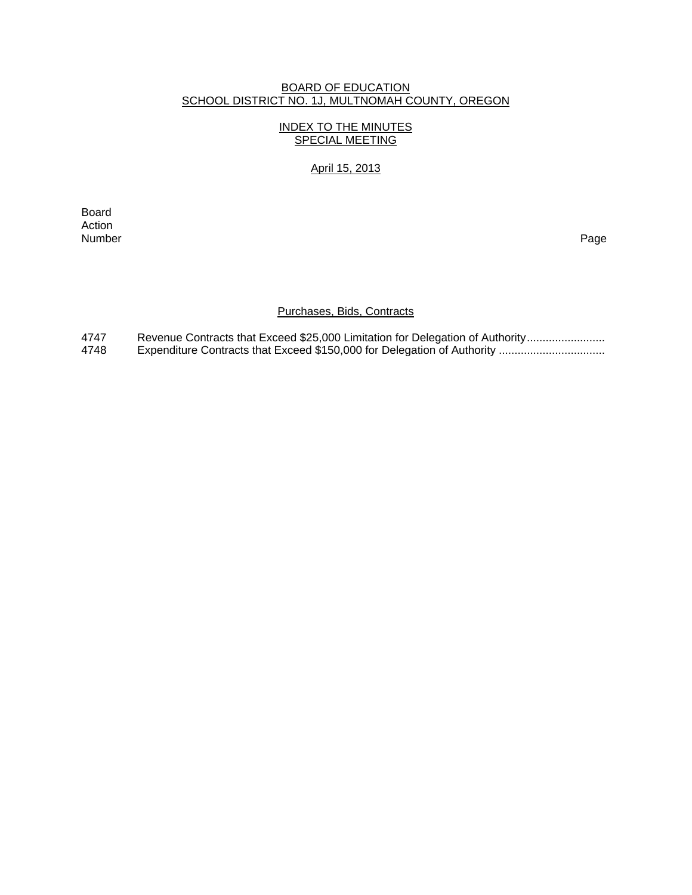### BOARD OF EDUCATION SCHOOL DISTRICT NO. 1J, MULTNOMAH COUNTY, OREGON

## INDEX TO THE MINUTES SPECIAL MEETING

# April 15, 2013

**Board Board** Action<br>Number Number Page

# Purchases, Bids, Contracts

4747 Revenue Contracts that Exceed \$25,000 Limitation for Delegation of Authority ...........................<br>4748 Expenditure Contracts that Exceed \$150.000 for Delegation of Authority ................................. 4748 Expenditure Contracts that Exceed \$150,000 for Delegation of Authority ..................................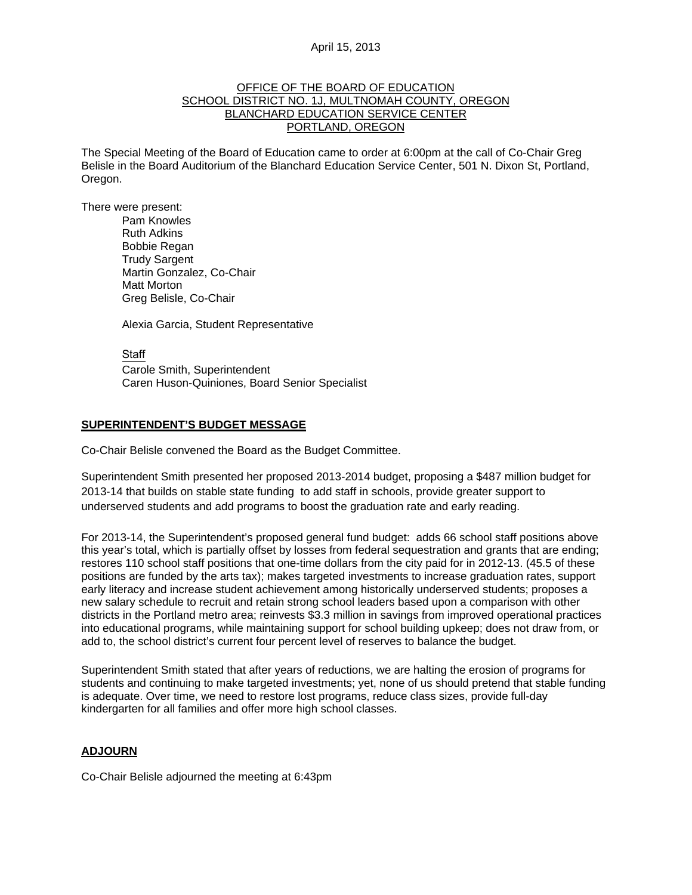#### OFFICE OF THE BOARD OF EDUCATION SCHOOL DISTRICT NO. 1J, MULTNOMAH COUNTY, OREGON BLANCHARD EDUCATION SERVICE CENTER PORTLAND, OREGON

The Special Meeting of the Board of Education came to order at 6:00pm at the call of Co-Chair Greg Belisle in the Board Auditorium of the Blanchard Education Service Center, 501 N. Dixon St, Portland, Oregon.

There were present: Pam Knowles

Ruth Adkins Bobbie Regan Trudy Sargent Martin Gonzalez, Co-Chair Matt Morton Greg Belisle, Co-Chair

Alexia Garcia, Student Representative

Staff Carole Smith, Superintendent Caren Huson-Quiniones, Board Senior Specialist

### **SUPERINTENDENT'S BUDGET MESSAGE**

Co-Chair Belisle convened the Board as the Budget Committee.

Superintendent Smith presented her proposed 2013-2014 budget, proposing a \$487 million budget for 2013-14 that builds on stable state funding to add staff in schools, provide greater support to underserved students and add programs to boost the graduation rate and early reading.

For 2013-14, the Superintendent's proposed general fund budget: adds 66 school staff positions above this year's total, which is partially offset by losses from federal sequestration and grants that are ending; restores 110 school staff positions that one-time dollars from the city paid for in 2012-13. (45.5 of these positions are funded by the arts tax); makes targeted investments to increase graduation rates, support early literacy and increase student achievement among historically underserved students; proposes a new salary schedule to recruit and retain strong school leaders based upon a comparison with other districts in the Portland metro area; reinvests \$3.3 million in savings from improved operational practices into educational programs, while maintaining support for school building upkeep; does not draw from, or add to, the school district's current four percent level of reserves to balance the budget.

Superintendent Smith stated that after years of reductions, we are halting the erosion of programs for students and continuing to make targeted investments; yet, none of us should pretend that stable funding is adequate. Over time, we need to restore lost programs, reduce class sizes, provide full-day kindergarten for all families and offer more high school classes.

## **ADJOURN**

Co-Chair Belisle adjourned the meeting at 6:43pm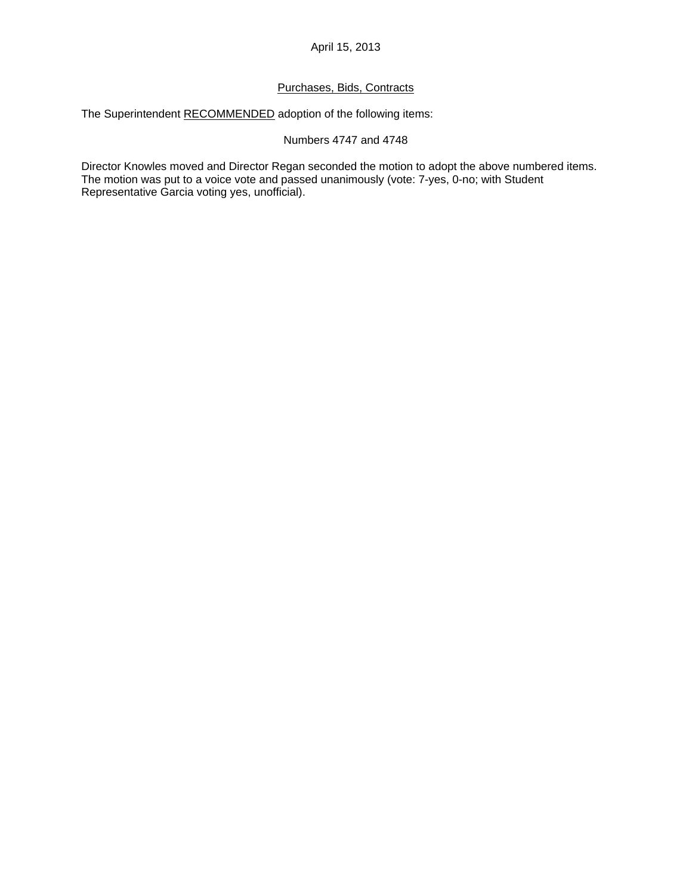## April 15, 2013

### Purchases, Bids, Contracts

The Superintendent RECOMMENDED adoption of the following items:

### Numbers 4747 and 4748

Director Knowles moved and Director Regan seconded the motion to adopt the above numbered items. The motion was put to a voice vote and passed unanimously (vote: 7-yes, 0-no; with Student Representative Garcia voting yes, unofficial).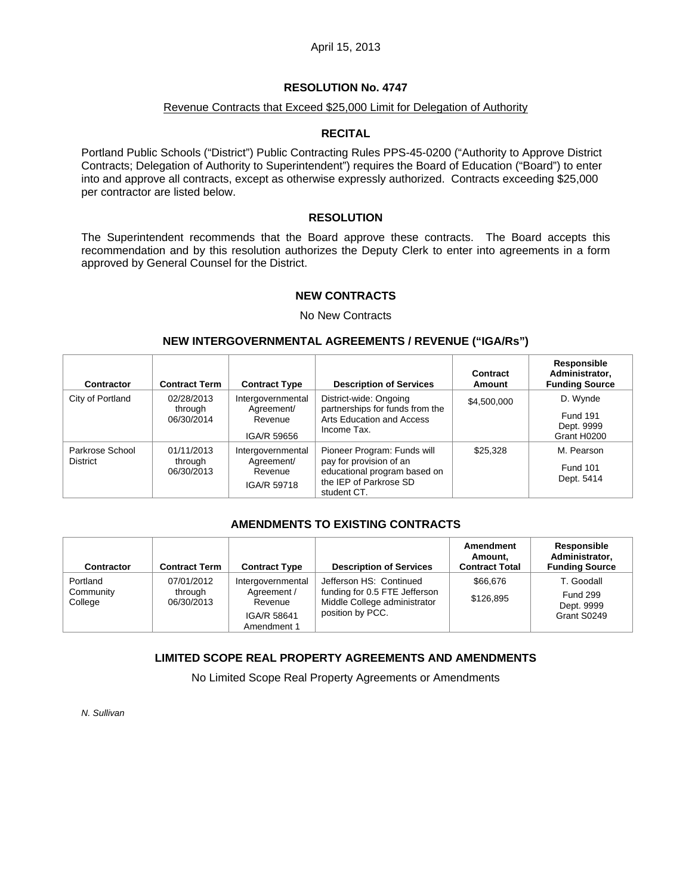### April 15, 2013

### **RESOLUTION No. 4747**

### Revenue Contracts that Exceed \$25,000 Limit for Delegation of Authority

#### **RECITAL**

Portland Public Schools ("District") Public Contracting Rules PPS-45-0200 ("Authority to Approve District Contracts; Delegation of Authority to Superintendent") requires the Board of Education ("Board") to enter into and approve all contracts, except as otherwise expressly authorized. Contracts exceeding \$25,000 per contractor are listed below.

### **RESOLUTION**

The Superintendent recommends that the Board approve these contracts. The Board accepts this recommendation and by this resolution authorizes the Deputy Clerk to enter into agreements in a form approved by General Counsel for the District.

#### **NEW CONTRACTS**

#### No New Contracts

#### **NEW INTERGOVERNMENTAL AGREEMENTS / REVENUE ("IGA/Rs")**

| Contractor                         | <b>Contract Term</b>                | <b>Contract Type</b>                                      | <b>Description of Services</b>                                                                                                  | Contract<br>Amount | Responsible<br>Administrator,<br><b>Funding Source</b>   |
|------------------------------------|-------------------------------------|-----------------------------------------------------------|---------------------------------------------------------------------------------------------------------------------------------|--------------------|----------------------------------------------------------|
| City of Portland                   | 02/28/2013<br>through<br>06/30/2014 | Intergovernmental<br>Agreement/<br>Revenue<br>IGA/R 59656 | District-wide: Ongoing<br>partnerships for funds from the<br>Arts Education and Access<br>Income Tax.                           | \$4,500,000        | D. Wynde<br><b>Fund 191</b><br>Dept. 9999<br>Grant H0200 |
| Parkrose School<br><b>District</b> | 01/11/2013<br>through<br>06/30/2013 | Intergovernmental<br>Agreement/<br>Revenue<br>IGA/R 59718 | Pioneer Program: Funds will<br>pay for provision of an<br>educational program based on<br>the IEP of Parkrose SD<br>student CT. | \$25,328           | M. Pearson<br><b>Fund 101</b><br>Dept. 5414              |

#### **AMENDMENTS TO EXISTING CONTRACTS**

| Contractor                       | <b>Contract Term</b>                | <b>Contract Type</b>                                                      | <b>Description of Services</b>                                                                               | Amendment<br>Amount,<br><b>Contract Total</b> | Responsible<br>Administrator,<br><b>Funding Source</b>     |
|----------------------------------|-------------------------------------|---------------------------------------------------------------------------|--------------------------------------------------------------------------------------------------------------|-----------------------------------------------|------------------------------------------------------------|
| Portland<br>Community<br>College | 07/01/2012<br>through<br>06/30/2013 | Intergovernmental<br>Agreement /<br>Revenue<br>IGA/R 58641<br>Amendment 1 | Jefferson HS: Continued<br>funding for 0.5 FTE Jefferson<br>Middle College administrator<br>position by PCC. | \$66,676<br>\$126,895                         | T. Goodall<br><b>Fund 299</b><br>Dept. 9999<br>Grant S0249 |

### **LIMITED SCOPE REAL PROPERTY AGREEMENTS AND AMENDMENTS**

No Limited Scope Real Property Agreements or Amendments

*N. Sullivan*